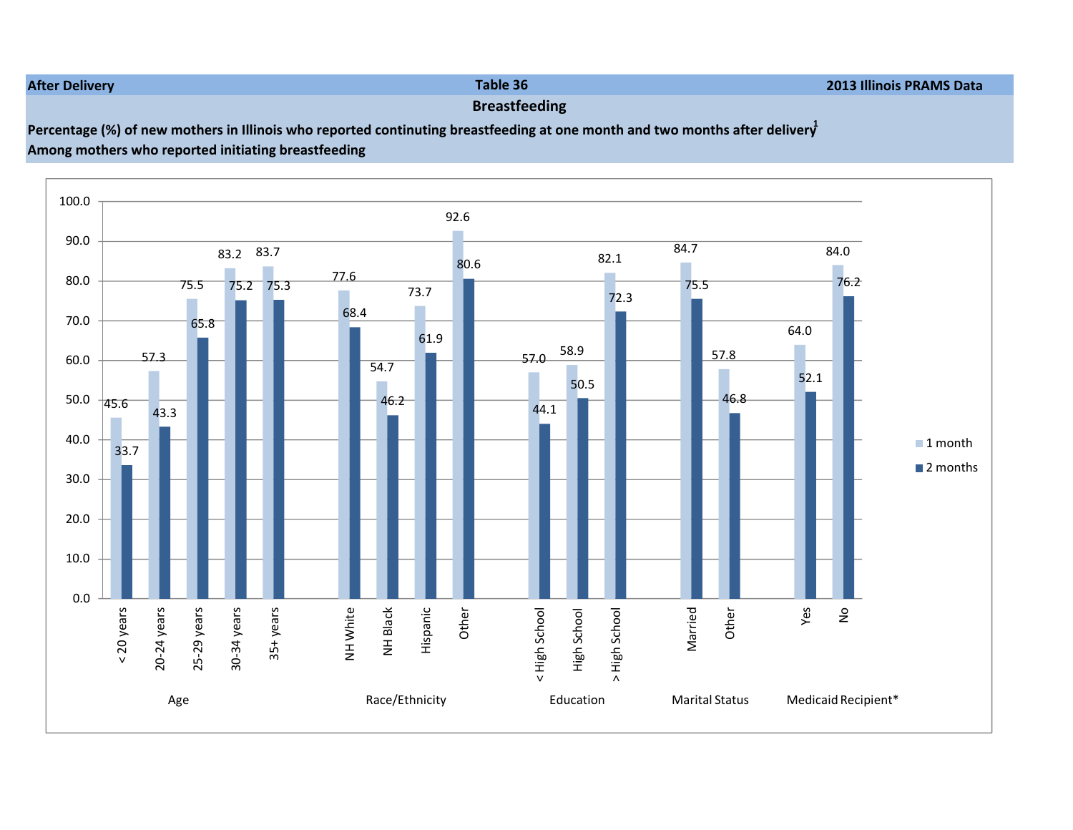## After Delivery

y and the state of the state of the state of the state of the state of the state of the state of the state of the state of the state of the state of the state of the state of the state of the state of the state of the stat

## Breastfeeding

## Percentage (%) of new mothers in Illinois who reported continuting breastfeeding at one month and two months after delivery

Among mothers who reported initiating breastfeeding